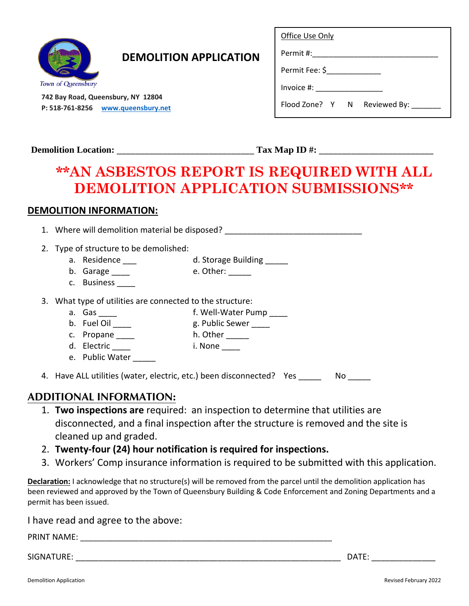

## **DEMOLITION APPLICATION**

 **742 Bay Road, Queensbury, NY 12804 P: 518-761-8256 [www.queensbury.net](http://www.queensbury.net/)**

| Office Use Only |
|-----------------|
|-----------------|

Permit Fee: \$\_\_\_\_\_\_\_\_\_\_\_\_\_

Invoice #: \_\_\_\_\_\_\_\_\_\_\_\_\_\_\_\_

Flood Zone? Y N Reviewed By:

Permit #:\_\_\_\_\_\_\_\_\_\_\_\_\_\_\_\_\_\_\_\_\_\_\_\_\_\_\_\_\_\_

**Demolition Location:** \_\_\_\_\_\_\_\_\_\_\_\_\_\_\_\_\_\_\_\_\_\_\_\_\_\_\_\_\_\_ **Tax Map ID #:** \_\_\_\_\_\_\_\_\_\_\_\_\_\_\_\_\_\_\_\_\_\_\_\_\_

# **\*\*AN ASBESTOS REPORT IS REQUIRED WITH ALL DEMOLITION APPLICATION SUBMISSIONS\*\***

#### **DEMOLITION INFORMATION:**

1. Where will demolition material be disposed?

2. Type of structure to be demolished:

- a. Residence \_\_\_ d. Storage Building \_\_\_\_\_
	-
- b. Garage \_\_\_\_\_ e. Other: \_\_\_\_\_ c. Business \_\_\_\_\_
- 
- 3. What type of utilities are connected to the structure:
	- a. Gas \_\_\_\_\_ f. Well-Water Pump \_\_\_\_
	- b. Fuel Oil \_\_\_\_\_ g. Public Sewer \_\_\_\_\_
	-
	- c. Propane \_\_\_\_ h. Other \_\_\_\_
	- d. Electric i. None e. Public Water
- 4. Have ALL utilities (water, electric, etc.) been disconnected? Yes No

### **ADDITIONAL INFORMATION:**

- 1. **Two inspections are** required: an inspection to determine that utilities are disconnected, and a final inspection after the structure is removed and the site is cleaned up and graded.
- 2. **Twenty-four (24) hour notification is required for inspections.**
- 3. Workers' Comp insurance information is required to be submitted with this application.

**Declaration:** I acknowledge that no structure(s) will be removed from the parcel until the demolition application has been reviewed and approved by the Town of Queensbury Building & Code Enforcement and Zoning Departments and a permit has been issued.

I have read and agree to the above:

PRINT NAME: \_\_\_\_\_\_\_\_\_\_\_\_\_\_\_\_\_\_\_\_\_\_\_\_\_\_\_\_\_\_\_\_\_\_\_\_\_\_\_\_\_\_\_\_\_\_\_\_\_\_\_\_\_\_\_\_\_\_\_\_

SIGNATURE: \_\_\_\_\_\_\_\_\_\_\_\_\_\_\_\_\_\_\_\_\_\_\_\_\_\_\_\_\_\_\_\_\_\_\_\_\_\_\_\_\_\_\_\_\_\_\_\_\_\_\_\_\_\_\_\_\_\_ DATE: \_\_\_\_\_\_\_\_\_\_\_\_\_\_